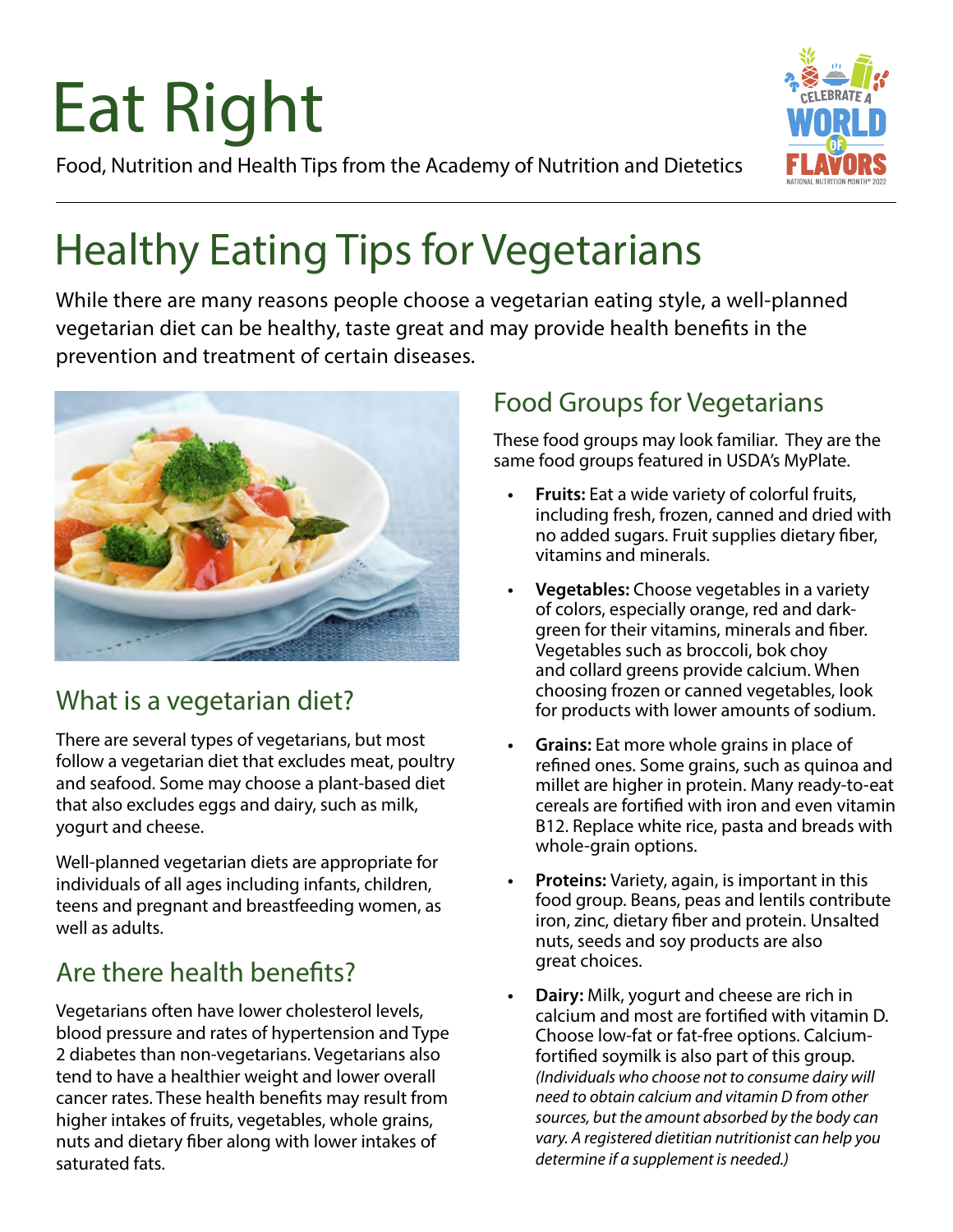# Eat Right

Food, Nutrition and Health Tips from the Academy of Nutrition and Dietetics

## Healthy Eating Tips for Vegetarians

While there are many reasons people choose a vegetarian eating style, a well-planned vegetarian diet can be healthy, taste great and may provide health benefits in the prevention and treatment of certain diseases.



## What is a vegetarian diet?

There are several types of vegetarians, but most follow a vegetarian diet that excludes meat, poultry and seafood. Some may choose a plant-based diet that also excludes eggs and dairy, such as milk, yogurt and cheese.

Well-planned vegetarian diets are appropriate for individuals of all ages including infants, children, teens and pregnant and breastfeeding women, as well as adults.

## Are there health benefits?

Vegetarians often have lower cholesterol levels, blood pressure and rates of hypertension and Type 2 diabetes than non-vegetarians. Vegetarians also tend to have a healthier weight and lower overall cancer rates. These health benefits may result from higher intakes of fruits, vegetables, whole grains, nuts and dietary fiber along with lower intakes of saturated fats.

## Food Groups for Vegetarians

These food groups may look familiar. They are the same food groups featured in USDA's MyPlate.

- **• Fruits:** Eat a wide variety of colorful fruits, including fresh, frozen, canned and dried with no added sugars. Fruit supplies dietary fiber, vitamins and minerals.
- **• Vegetables:** Choose vegetables in a variety of colors, especially orange, red and darkgreen for their vitamins, minerals and fiber. Vegetables such as broccoli, bok choy and collard greens provide calcium. When choosing frozen or canned vegetables, look for products with lower amounts of sodium.
- **• Grains:** Eat more whole grains in place of refined ones. Some grains, such as quinoa and millet are higher in protein. Many ready-to-eat cereals are fortified with iron and even vitamin B12. Replace white rice, pasta and breads with whole-grain options.
- **• Proteins:** Variety, again, is important in this food group. Beans, peas and lentils contribute iron, zinc, dietary fiber and protein. Unsalted nuts, seeds and soy products are also great choices.
- **• Dairy:** Milk, yogurt and cheese are rich in calcium and most are fortified with vitamin D. Choose low-fat or fat-free options. Calciumfortified soymilk is also part of this group. *(Individuals who choose not to consume dairy will need to obtain calcium and vitamin D from other sources, but the amount absorbed by the body can vary. A registered dietitian nutritionist can help you determine if a supplement is needed.)*